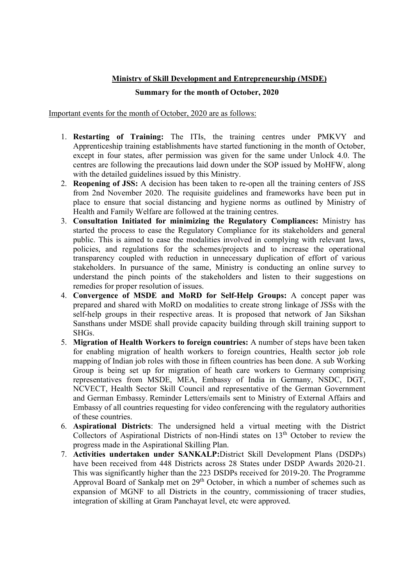## Ministry of Skill Development and Entrepreneurship (MSDE)

## Summary for the month of October, 2020

Important events for the month of October, 2020 are as follows:

- 1. Restarting of Training: The ITIs, the training centres under PMKVY and Apprenticeship training establishments have started functioning in the month of October, except in four states, after permission was given for the same under Unlock 4.0. The centres are following the precautions laid down under the SOP issued by MoHFW, along with the detailed guidelines issued by this Ministry.
- 2. Reopening of JSS: A decision has been taken to re-open all the training centers of JSS from 2nd November 2020. The requisite guidelines and frameworks have been put in place to ensure that social distancing and hygiene norms as outlined by Ministry of Health and Family Welfare are followed at the training centres.
- 3. Consultation Initiated for minimizing the Regulatory Compliances: Ministry has started the process to ease the Regulatory Compliance for its stakeholders and general public. This is aimed to ease the modalities involved in complying with relevant laws, policies, and regulations for the schemes/projects and to increase the operational transparency coupled with reduction in unnecessary duplication of effort of various stakeholders. In pursuance of the same, Ministry is conducting an online survey to understand the pinch points of the stakeholders and listen to their suggestions on remedies for proper resolution of issues.
- 4. Convergence of MSDE and MoRD for Self-Help Groups: A concept paper was prepared and shared with MoRD on modalities to create strong linkage of JSSs with the self-help groups in their respective areas. It is proposed that network of Jan Sikshan Sansthans under MSDE shall provide capacity building through skill training support to SHGs.
- 5. Migration of Health Workers to foreign countries: A number of steps have been taken for enabling migration of health workers to foreign countries, Health sector job role mapping of Indian job roles with those in fifteen countries has been done. A sub Working Group is being set up for migration of heath care workers to Germany comprising representatives from MSDE, MEA, Embassy of India in Germany, NSDC, DGT, NCVECT, Health Sector Skill Council and representative of the German Government and German Embassy. Reminder Letters/emails sent to Ministry of External Affairs and Embassy of all countries requesting for video conferencing with the regulatory authorities of these countries.
- 6. Aspirational Districts: The undersigned held a virtual meeting with the District Collectors of Aspirational Districts of non-Hindi states on  $13<sup>th</sup>$  October to review the progress made in the Aspirational Skilling Plan.
- 7. Activities undertaken under SANKALP:District Skill Development Plans (DSDPs) have been received from 448 Districts across 28 States under DSDP Awards 2020-21. This was significantly higher than the 223 DSDPs received for 2019-20. The Programme Approval Board of Sankalp met on  $29<sup>th</sup>$  October, in which a number of schemes such as expansion of MGNF to all Districts in the country, commissioning of tracer studies, integration of skilling at Gram Panchayat level, etc were approved.